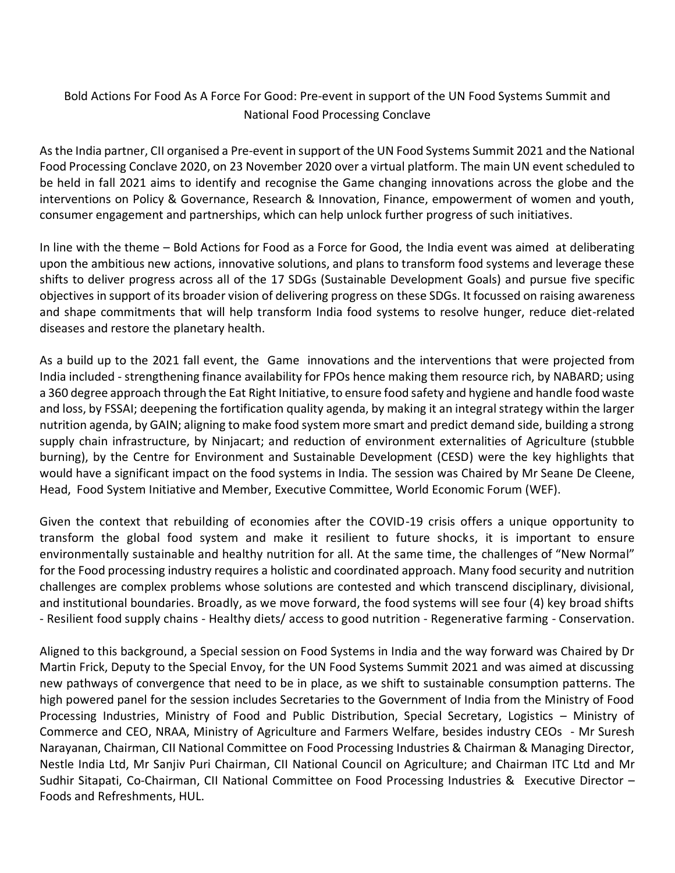## Bold Actions For Food As A Force For Good: Pre-event in support of the UN Food Systems Summit and National Food Processing Conclave

As the India partner, CII organised a Pre-event in support of the UN Food Systems Summit 2021 and the National Food Processing Conclave 2020, on 23 November 2020 over a virtual platform. The main UN event scheduled to be held in fall 2021 aims to identify and recognise the Game changing innovations across the globe and the interventions on Policy & Governance, Research & Innovation, Finance, empowerment of women and youth, consumer engagement and partnerships, which can help unlock further progress of such initiatives.

In line with the theme – Bold Actions for Food as a Force for Good, the India event was aimed at deliberating upon the ambitious new actions, innovative solutions, and plans to transform food systems and leverage these shifts to deliver progress across all of the 17 SDGs (Sustainable Development Goals) and pursue five specific objectives in support of its broader vision of delivering progress on these SDGs. It focussed on raising awareness and shape commitments that will help transform India food systems to resolve hunger, reduce diet-related diseases and restore the planetary health.

As a build up to the 2021 fall event, the Game innovations and the interventions that were projected from India included - strengthening finance availability for FPOs hence making them resource rich, by NABARD; using a 360 degree approach through the Eat Right Initiative, to ensure food safety and hygiene and handle food waste and loss, by FSSAI; deepening the fortification quality agenda, by making it an integral strategy within the larger nutrition agenda, by GAIN; aligning to make food system more smart and predict demand side, building a strong supply chain infrastructure, by Ninjacart; and reduction of environment externalities of Agriculture (stubble burning), by the Centre for Environment and Sustainable Development (CESD) were the key highlights that would have a significant impact on the food systems in India. The session was Chaired by Mr Seane De Cleene, Head, Food System Initiative and Member, Executive Committee, World Economic Forum (WEF).

Given the context that rebuilding of economies after the COVID-19 crisis offers a unique opportunity to transform the global food system and make it resilient to future shocks, it is important to ensure environmentally sustainable and healthy nutrition for all. At the same time, the challenges of "New Normal" for the Food processing industry requires a holistic and coordinated approach. Many food security and nutrition challenges are complex problems whose solutions are contested and which transcend disciplinary, divisional, and institutional boundaries. Broadly, as we move forward, the food systems will see four (4) key broad shifts - Resilient food supply chains - Healthy diets/ access to good nutrition - Regenerative farming - Conservation.

Aligned to this background, a Special session on Food Systems in India and the way forward was Chaired by Dr Martin Frick, Deputy to the Special Envoy, for the UN Food Systems Summit 2021 and was aimed at discussing new pathways of convergence that need to be in place, as we shift to sustainable consumption patterns. The high powered panel for the session includes Secretaries to the Government of India from the Ministry of Food Processing Industries, Ministry of Food and Public Distribution, Special Secretary, Logistics – Ministry of Commerce and CEO, NRAA, Ministry of Agriculture and Farmers Welfare, besides industry CEOs - Mr Suresh Narayanan, Chairman, CII National Committee on Food Processing Industries & Chairman & Managing Director, Nestle India Ltd, Mr Sanjiv Puri Chairman, CII National Council on Agriculture; and Chairman ITC Ltd and Mr Sudhir Sitapati, Co-Chairman, CII National Committee on Food Processing Industries & Executive Director – Foods and Refreshments, HUL.